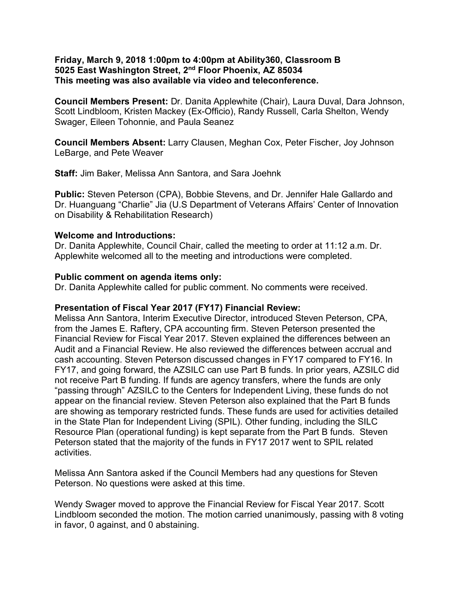### **Friday, March 9, 2018 1:00pm to 4:00pm at Ability360, Classroom B 5025 East Washington Street, 2nd Floor Phoenix, AZ 85034 This meeting was also available via video and teleconference.**

**Council Members Present:** Dr. Danita Applewhite (Chair), Laura Duval, Dara Johnson, Scott Lindbloom, Kristen Mackey (Ex-Officio), Randy Russell, Carla Shelton, Wendy Swager, Eileen Tohonnie, and Paula Seanez

**Council Members Absent:** Larry Clausen, Meghan Cox, Peter Fischer, Joy Johnson LeBarge, and Pete Weaver

**Staff:** Jim Baker, Melissa Ann Santora, and Sara Joehnk

**Public:** Steven Peterson (CPA), Bobbie Stevens, and Dr. Jennifer Hale Gallardo and Dr. Huanguang "Charlie" Jia (U.S Department of Veterans Affairs' Center of Innovation on Disability & Rehabilitation Research)

### **Welcome and Introductions:**

Dr. Danita Applewhite, Council Chair, called the meeting to order at 11:12 a.m. Dr. Applewhite welcomed all to the meeting and introductions were completed.

### **Public comment on agenda items only:**

Dr. Danita Applewhite called for public comment. No comments were received.

## **Presentation of Fiscal Year 2017 (FY17) Financial Review:**

Melissa Ann Santora, Interim Executive Director, introduced Steven Peterson, CPA, from the James E. Raftery, CPA accounting firm. Steven Peterson presented the Financial Review for Fiscal Year 2017. Steven explained the differences between an Audit and a Financial Review. He also reviewed the differences between accrual and cash accounting. Steven Peterson discussed changes in FY17 compared to FY16. In FY17, and going forward, the AZSILC can use Part B funds. In prior years, AZSILC did not receive Part B funding. If funds are agency transfers, where the funds are only "passing through" AZSILC to the Centers for Independent Living, these funds do not appear on the financial review. Steven Peterson also explained that the Part B funds are showing as temporary restricted funds. These funds are used for activities detailed in the State Plan for Independent Living (SPIL). Other funding, including the SILC Resource Plan (operational funding) is kept separate from the Part B funds. Steven Peterson stated that the majority of the funds in FY17 2017 went to SPIL related activities.

Melissa Ann Santora asked if the Council Members had any questions for Steven Peterson. No questions were asked at this time.

Wendy Swager moved to approve the Financial Review for Fiscal Year 2017. Scott Lindbloom seconded the motion. The motion carried unanimously, passing with 8 voting in favor, 0 against, and 0 abstaining.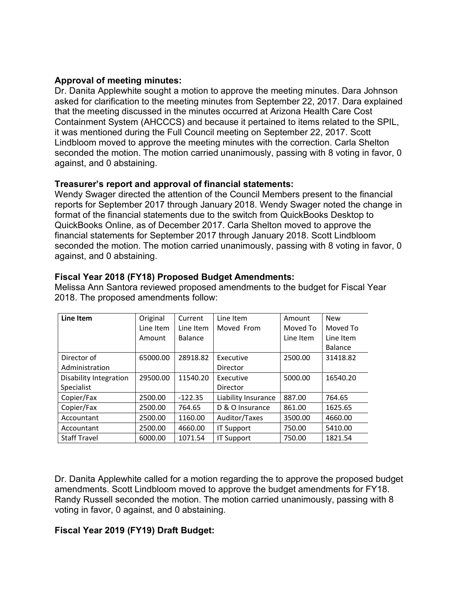# **Approval of meeting minutes:**

Dr. Danita Applewhite sought a motion to approve the meeting minutes. Dara Johnson asked for clarification to the meeting minutes from September 22, 2017. Dara explained that the meeting discussed in the minutes occurred at Arizona Health Care Cost Containment System (AHCCCS) and because it pertained to items related to the SPIL, it was mentioned during the Full Council meeting on September 22, 2017. Scott Lindbloom moved to approve the meeting minutes with the correction. Carla Shelton seconded the motion. The motion carried unanimously, passing with 8 voting in favor, 0 against, and 0 abstaining.

# **Treasurer's report and approval of financial statements:**

Wendy Swager directed the attention of the Council Members present to the financial reports for September 2017 through January 2018. Wendy Swager noted the change in format of the financial statements due to the switch from QuickBooks Desktop to QuickBooks Online, as of December 2017. Carla Shelton moved to approve the financial statements for September 2017 through January 2018. Scott Lindbloom seconded the motion. The motion carried unanimously, passing with 8 voting in favor, 0 against, and 0 abstaining.

| Line Item                     | Original  | Current   | Line Item           | Amount    | <b>New</b>     | <b>New</b>     |
|-------------------------------|-----------|-----------|---------------------|-----------|----------------|----------------|
|                               | Line Item | Line Item | Moved From          | Moved To  | Moved To       | Moved From     |
|                               | Amount    | Balance   |                     | Line Item | Line Item      | Line Item      |
|                               |           |           |                     |           | <b>Balance</b> | <b>Balance</b> |
| Director of                   | 65000.00  | 28918.82  | Executive           | 2500.00   | 31418.82       | 39638.88       |
| Administration                |           |           | Director            |           |                |                |
| <b>Disability Integration</b> | 29500.00  | 11540.20  | Executive           | 5000.00   | 16540.20       | 34638.88       |
| Specialist                    |           |           | Director            |           |                |                |
| Copier/Fax                    | 2500.00   | $-122.35$ | Liability Insurance | 887.00    | 764.65         | 0.00           |
| Copier/Fax                    | 2500.00   | 764.65    | D & O Insurance     | 861.00    | 1625.65        | 0.00           |
| Accountant                    | 2500.00   | 1160.00   | Auditor/Taxes       | 3500.00   | 4660.00        | 919.31         |
| Accountant                    | 2500.00   | 4660.00   | <b>IT Support</b>   | 750.00    | 5410.00        | 1250.00        |
| <b>Staff Travel</b>           | 6000.00   | 1071.54   | <b>IT Support</b>   | 750.00    | 1821.54        | 500.00         |

# **Fiscal Year 2018 (FY18) Proposed Budget Amendments:**

Melissa Ann Santora reviewed proposed amendments to the budget for Fiscal Year 2018. The proposed amendments follow:

Dr. Danita Applewhite called for a motion regarding the to approve the proposed budget amendments. Scott Lindbloom moved to approve the budget amendments for FY18. Randy Russell seconded the motion. The motion carried unanimously, passing with 8 voting in favor, 0 against, and 0 abstaining.

# **Fiscal Year 2019 (FY19) Draft Budget:**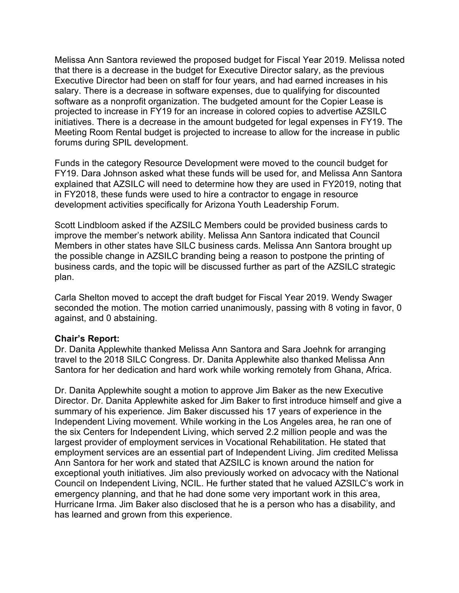Melissa Ann Santora reviewed the proposed budget for Fiscal Year 2019. Melissa noted that there is a decrease in the budget for Executive Director salary, as the previous Executive Director had been on staff for four years, and had earned increases in his salary. There is a decrease in software expenses, due to qualifying for discounted software as a nonprofit organization. The budgeted amount for the Copier Lease is projected to increase in FY19 for an increase in colored copies to advertise AZSILC initiatives. There is a decrease in the amount budgeted for legal expenses in FY19. The Meeting Room Rental budget is projected to increase to allow for the increase in public forums during SPIL development.

Funds in the category Resource Development were moved to the council budget for FY19. Dara Johnson asked what these funds will be used for, and Melissa Ann Santora explained that AZSILC will need to determine how they are used in FY2019, noting that in FY2018, these funds were used to hire a contractor to engage in resource development activities specifically for Arizona Youth Leadership Forum.

Scott Lindbloom asked if the AZSILC Members could be provided business cards to improve the member's network ability. Melissa Ann Santora indicated that Council Members in other states have SILC business cards. Melissa Ann Santora brought up the possible change in AZSILC branding being a reason to postpone the printing of business cards, and the topic will be discussed further as part of the AZSILC strategic plan.

Carla Shelton moved to accept the draft budget for Fiscal Year 2019. Wendy Swager seconded the motion. The motion carried unanimously, passing with 8 voting in favor, 0 against, and 0 abstaining.

## **Chair's Report:**

Dr. Danita Applewhite thanked Melissa Ann Santora and Sara Joehnk for arranging travel to the 2018 SILC Congress. Dr. Danita Applewhite also thanked Melissa Ann Santora for her dedication and hard work while working remotely from Ghana, Africa.

Dr. Danita Applewhite sought a motion to approve Jim Baker as the new Executive Director. Dr. Danita Applewhite asked for Jim Baker to first introduce himself and give a summary of his experience. Jim Baker discussed his 17 years of experience in the Independent Living movement. While working in the Los Angeles area, he ran one of the six Centers for Independent Living, which served 2.2 million people and was the largest provider of employment services in Vocational Rehabilitation. He stated that employment services are an essential part of Independent Living. Jim credited Melissa Ann Santora for her work and stated that AZSILC is known around the nation for exceptional youth initiatives. Jim also previously worked on advocacy with the National Council on Independent Living, NCIL. He further stated that he valued AZSILC's work in emergency planning, and that he had done some very important work in this area, Hurricane Irma. Jim Baker also disclosed that he is a person who has a disability, and has learned and grown from this experience.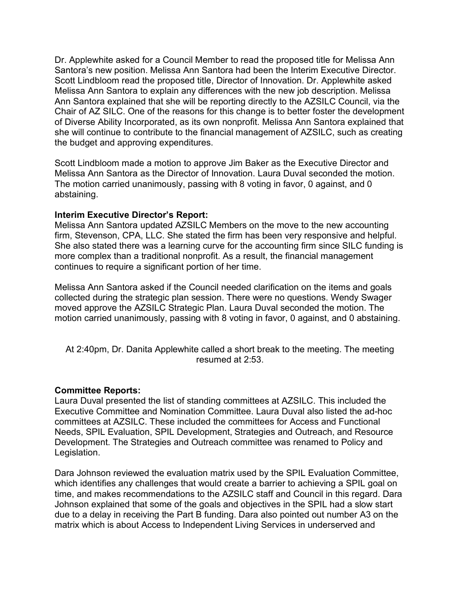Dr. Applewhite asked for a Council Member to read the proposed title for Melissa Ann Santora's new position. Melissa Ann Santora had been the Interim Executive Director. Scott Lindbloom read the proposed title, Director of Innovation. Dr. Applewhite asked Melissa Ann Santora to explain any differences with the new job description. Melissa Ann Santora explained that she will be reporting directly to the AZSILC Council, via the Chair of AZ SILC. One of the reasons for this change is to better foster the development of Diverse Ability Incorporated, as its own nonprofit. Melissa Ann Santora explained that she will continue to contribute to the financial management of AZSILC, such as creating the budget and approving expenditures.

Scott Lindbloom made a motion to approve Jim Baker as the Executive Director and Melissa Ann Santora as the Director of Innovation. Laura Duval seconded the motion. The motion carried unanimously, passing with 8 voting in favor, 0 against, and 0 abstaining.

### **Interim Executive Director's Report:**

Melissa Ann Santora updated AZSILC Members on the move to the new accounting firm, Stevenson, CPA, LLC. She stated the firm has been very responsive and helpful. She also stated there was a learning curve for the accounting firm since SILC funding is more complex than a traditional nonprofit. As a result, the financial management continues to require a significant portion of her time.

Melissa Ann Santora asked if the Council needed clarification on the items and goals collected during the strategic plan session. There were no questions. Wendy Swager moved approve the AZSILC Strategic Plan. Laura Duval seconded the motion. The motion carried unanimously, passing with 8 voting in favor, 0 against, and 0 abstaining.

At 2:40pm, Dr. Danita Applewhite called a short break to the meeting. The meeting resumed at 2:53.

#### **Committee Reports:**

Laura Duval presented the list of standing committees at AZSILC. This included the Executive Committee and Nomination Committee. Laura Duval also listed the ad-hoc committees at AZSILC. These included the committees for Access and Functional Needs, SPIL Evaluation, SPIL Development, Strategies and Outreach, and Resource Development. The Strategies and Outreach committee was renamed to Policy and Legislation.

Dara Johnson reviewed the evaluation matrix used by the SPIL Evaluation Committee, which identifies any challenges that would create a barrier to achieving a SPIL goal on time, and makes recommendations to the AZSILC staff and Council in this regard. Dara Johnson explained that some of the goals and objectives in the SPIL had a slow start due to a delay in receiving the Part B funding. Dara also pointed out number A3 on the matrix which is about Access to Independent Living Services in underserved and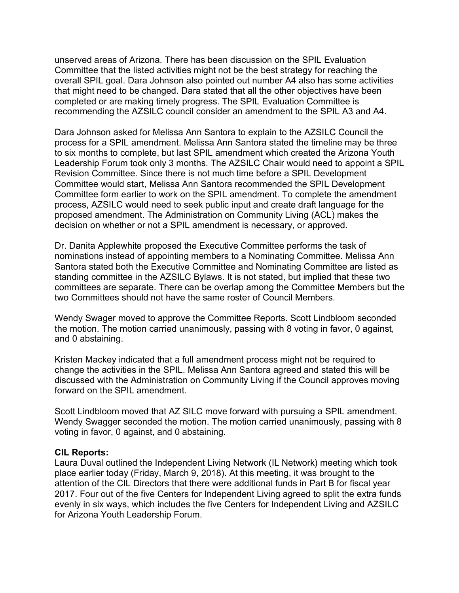unserved areas of Arizona. There has been discussion on the SPIL Evaluation Committee that the listed activities might not be the best strategy for reaching the overall SPIL goal. Dara Johnson also pointed out number A4 also has some activities that might need to be changed. Dara stated that all the other objectives have been completed or are making timely progress. The SPIL Evaluation Committee is recommending the AZSILC council consider an amendment to the SPIL A3 and A4.

Dara Johnson asked for Melissa Ann Santora to explain to the AZSILC Council the process for a SPIL amendment. Melissa Ann Santora stated the timeline may be three to six months to complete, but last SPIL amendment which created the Arizona Youth Leadership Forum took only 3 months. The AZSILC Chair would need to appoint a SPIL Revision Committee. Since there is not much time before a SPIL Development Committee would start, Melissa Ann Santora recommended the SPIL Development Committee form earlier to work on the SPIL amendment. To complete the amendment process, AZSILC would need to seek public input and create draft language for the proposed amendment. The Administration on Community Living (ACL) makes the decision on whether or not a SPIL amendment is necessary, or approved.

Dr. Danita Applewhite proposed the Executive Committee performs the task of nominations instead of appointing members to a Nominating Committee. Melissa Ann Santora stated both the Executive Committee and Nominating Committee are listed as standing committee in the AZSILC Bylaws. It is not stated, but implied that these two committees are separate. There can be overlap among the Committee Members but the two Committees should not have the same roster of Council Members.

Wendy Swager moved to approve the Committee Reports. Scott Lindbloom seconded the motion. The motion carried unanimously, passing with 8 voting in favor, 0 against, and 0 abstaining.

Kristen Mackey indicated that a full amendment process might not be required to change the activities in the SPIL. Melissa Ann Santora agreed and stated this will be discussed with the Administration on Community Living if the Council approves moving forward on the SPIL amendment.

Scott Lindbloom moved that AZ SILC move forward with pursuing a SPIL amendment. Wendy Swagger seconded the motion. The motion carried unanimously, passing with 8 voting in favor, 0 against, and 0 abstaining.

#### **CIL Reports:**

Laura Duval outlined the Independent Living Network (IL Network) meeting which took place earlier today (Friday, March 9, 2018). At this meeting, it was brought to the attention of the CIL Directors that there were additional funds in Part B for fiscal year 2017. Four out of the five Centers for Independent Living agreed to split the extra funds evenly in six ways, which includes the five Centers for Independent Living and AZSILC for Arizona Youth Leadership Forum.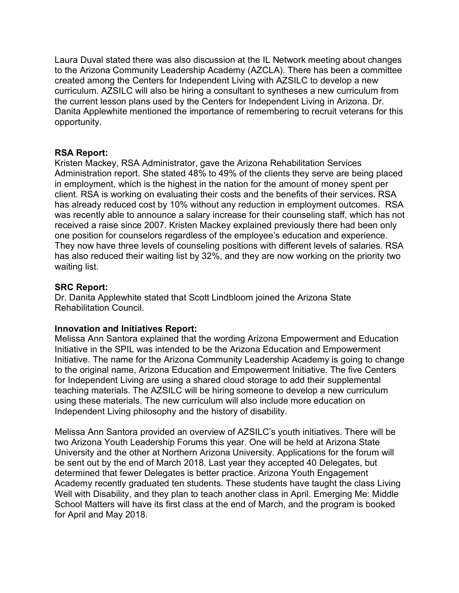Laura Duval stated there was also discussion at the IL Network meeting about changes to the Arizona Community Leadership Academy (AZCLA). There has been a committee created among the Centers for Independent Living with AZSILC to develop a new curriculum. AZSILC will also be hiring a consultant to syntheses a new curriculum from the current lesson plans used by the Centers for Independent Living in Arizona. Dr. Danita Applewhite mentioned the importance of remembering to recruit veterans for this opportunity.

## **RSA Report:**

Kristen Mackey, RSA Administrator, gave the Arizona Rehabilitation Services Administration report. She stated 48% to 49% of the clients they serve are being placed in employment, which is the highest in the nation for the amount of money spent per client. RSA is working on evaluating their costs and the benefits of their services. RSA has already reduced cost by 10% without any reduction in employment outcomes. RSA was recently able to announce a salary increase for their counseling staff, which has not received a raise since 2007. Kristen Mackey explained previously there had been only one position for counselors regardless of the employee's education and experience. They now have three levels of counseling positions with different levels of salaries. RSA has also reduced their waiting list by 32%, and they are now working on the priority two waiting list.

# **SRC Report:**

Dr. Danita Applewhite stated that Scott Lindbloom joined the Arizona State Rehabilitation Council.

# **Innovation and Initiatives Report:**

Melissa Ann Santora explained that the wording Arizona Empowerment and Education Initiative in the SPIL was intended to be the Arizona Education and Empowerment Initiative. The name for the Arizona Community Leadership Academy is going to change to the original name, Arizona Education and Empowerment Initiative. The five Centers for Independent Living are using a shared cloud storage to add their supplemental teaching materials. The AZSILC will be hiring someone to develop a new curriculum using these materials. The new curriculum will also include more education on Independent Living philosophy and the history of disability.

Melissa Ann Santora provided an overview of AZSILC's youth initiatives. There will be two Arizona Youth Leadership Forums this year. One will be held at Arizona State University and the other at Northern Arizona University. Applications for the forum will be sent out by the end of March 2018. Last year they accepted 40 Delegates, but determined that fewer Delegates is better practice. Arizona Youth Engagement Academy recently graduated ten students. These students have taught the class Living Well with Disability, and they plan to teach another class in April. Emerging Me: Middle School Matters will have its first class at the end of March, and the program is booked for April and May 2018.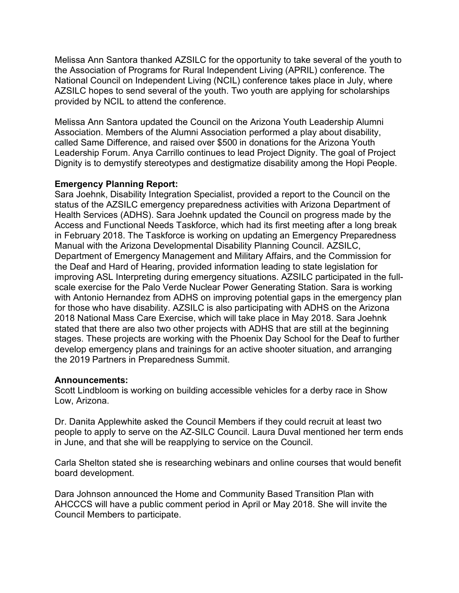Melissa Ann Santora thanked AZSILC for the opportunity to take several of the youth to the Association of Programs for Rural Independent Living (APRIL) conference. The National Council on Independent Living (NCIL) conference takes place in July, where AZSILC hopes to send several of the youth. Two youth are applying for scholarships provided by NCIL to attend the conference.

Melissa Ann Santora updated the Council on the Arizona Youth Leadership Alumni Association. Members of the Alumni Association performed a play about disability, called Same Difference, and raised over \$500 in donations for the Arizona Youth Leadership Forum. Anya Carrillo continues to lead Project Dignity. The goal of Project Dignity is to demystify stereotypes and destigmatize disability among the Hopi People.

## **Emergency Planning Report:**

Sara Joehnk, Disability Integration Specialist, provided a report to the Council on the status of the AZSILC emergency preparedness activities with Arizona Department of Health Services (ADHS). Sara Joehnk updated the Council on progress made by the Access and Functional Needs Taskforce, which had its first meeting after a long break in February 2018. The Taskforce is working on updating an Emergency Preparedness Manual with the Arizona Developmental Disability Planning Council. AZSILC, Department of Emergency Management and Military Affairs, and the Commission for the Deaf and Hard of Hearing, provided information leading to state legislation for improving ASL Interpreting during emergency situations. AZSILC participated in the fullscale exercise for the Palo Verde Nuclear Power Generating Station. Sara is working with Antonio Hernandez from ADHS on improving potential gaps in the emergency plan for those who have disability. AZSILC is also participating with ADHS on the Arizona 2018 National Mass Care Exercise, which will take place in May 2018. Sara Joehnk stated that there are also two other projects with ADHS that are still at the beginning stages. These projects are working with the Phoenix Day School for the Deaf to further develop emergency plans and trainings for an active shooter situation, and arranging the 2019 Partners in Preparedness Summit.

## **Announcements:**

Scott Lindbloom is working on building accessible vehicles for a derby race in Show Low, Arizona.

Dr. Danita Applewhite asked the Council Members if they could recruit at least two people to apply to serve on the AZ-SILC Council. Laura Duval mentioned her term ends in June, and that she will be reapplying to service on the Council.

Carla Shelton stated she is researching webinars and online courses that would benefit board development.

Dara Johnson announced the Home and Community Based Transition Plan with AHCCCS will have a public comment period in April or May 2018. She will invite the Council Members to participate.